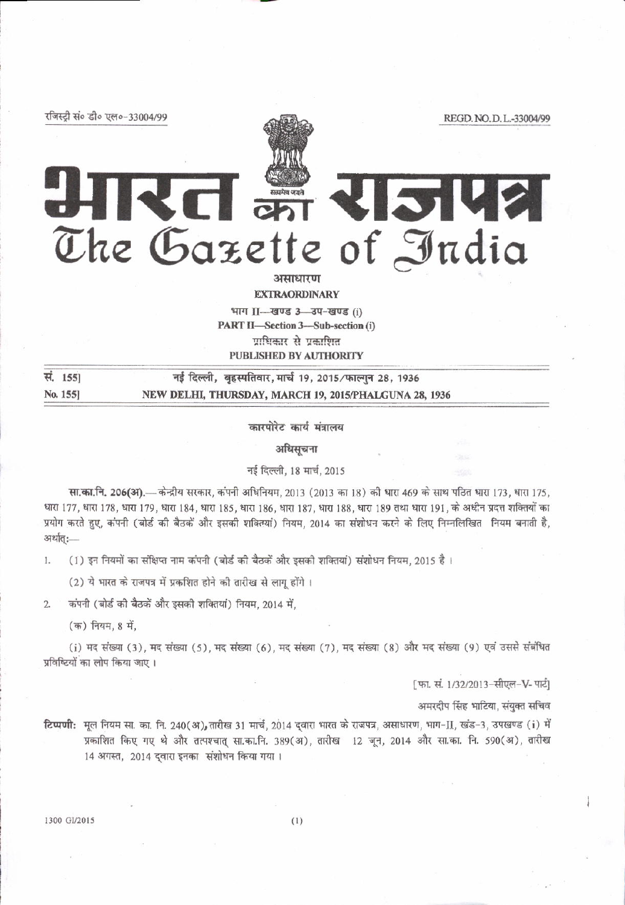रजिस्ट्री सं० डी० एल०-33004/99

REGD, NO.D.L.-33004/99

HIKEI THEIRE The Gazette of India अमाधारण

**EXTRAORDINARY** 

भाग II- खण्ड 3-3प-खण्ड (i) PART II-Section 3-Sub-section (i) पाधिकार से प्रकाणित PUBLISHED BY AUTHORITY

सं. 155] नई दिल्ली, बृहस्पतिवार, मार्च 19, 2015/फाल्गुन 28, 1936 No. 155] NEW DELHI, THURSDAY, MARCH 19, 2015/PHALGUNA 28, 1936

कारपोरेट कार्य मंत्रालय

अधिसचना

नई दिल्ली, 18 मार्च, 2015

सा.का.नि. 206(अ).— केन्द्रीय सरकार, कंपनी अधिनियम, 2013 (2013 का 18) की धारा 469 के साथ पठित धारा 173, धारा 175, धारा 177, धारा 178, धारा 179, धारा 184, धारा 185, धारा 186, धारा 187, धारा 188, धारा 189 तथा धारा 191, के अधीन प्रदत्त शक्तियों का प्रयोग करते हुए, कंपनी (बोर्ड की बैठकें और इसकी शक्तियां) नियम, 2014 का संशोधन करने के लिए निम्नलिखित नियम बनाती है, अर्थात् :-

(1) इन नियमों का संक्षिप्त नाम कंपनी (बोर्ड की बैठकें और इसकी शक्तियां) संशोधन नियम, 2015 है। L.

(2) ये भारत के राजपत्र में प्रकशित होने की तारीख से लागू होंगे ।

कंपनी (बोर्ड की बैठकें और इसकी शक्तियां) नियम, 2014 में,  $\mathfrak{L}$ 

(क) नियम, 8 में,

(i) मद संख्या (3), मद संख्या (5), मद संख्या (6), मद संख्या (7), मद संख्या (8) और मद संख्या (9) एवं उससे संबंधित प्रविष्टियों का लोप किया जाए।

[फा. सं. 1/32/2013-सीएल-V- पार्टी

अमरदीप सिंह भाटिया, संयुक्त सचिव

टिप्पणी: मूल नियम सा. का. नि. 240(अ), तारीख 31 मार्च, 2014 दवारा भारत के राजपत्र, असाधारण, भाग-∏, खंड-3, उपखण्ड (i) में प्रकाशित किए गए थे और तत्पश्चात् सा.का.नि. 389(अ), तारीख 12 जून, 2014 और सा.का. नि. 590(अ), तारीख 14 अगस्त, 2014 द्वारा इनका संशोधन किया गया।